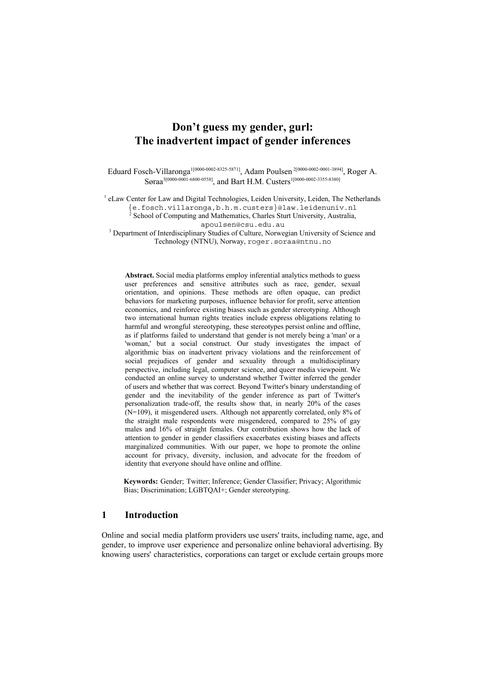# **Don't guess my gender, gurl: The inadvertent impact of gender inferences**

Eduard Fosch-Villaronga<sup>1[0000-0002-8325-5871]</sup>, Adam Poulsen<sup>2[0000-0002-0001-3894]</sup>, Roger A. Søraa<sup>3[0000-0001-6800-0558]</sup>, and Bart H.M. Custers<sup>1[0000-0002-3355-8380]</sup>

<sup>1</sup> eLaw Center for Law and Digital Technologies, Leiden University, Leiden, The Netherlands

{e.fosch.villaronga,b.h.m.custers}@law.leidenuniv.nl 2 School of Computing and Mathematics, Charles Sturt University, Australia,

[apoulsen@csu.edu.au](mailto:apoulsen@csu.edu.au)

<sup>3</sup> Department of Interdisciplinary Studies of Culture, Norwegian University of Science and Technology (NTNU), Norway, [roger.soraa@ntnu.no](mailto:roger.soraa@ntnu.no)

**Abstract.** Social media platforms employ inferential analytics methods to guess user preferences and sensitive attributes such as race, gender, sexual orientation, and opinions. These methods are often opaque, can predict behaviors for marketing purposes, influence behavior for profit, serve attention economics, and reinforce existing biases such as gender stereotyping. Although two international human rights treaties include express obligations relating to harmful and wrongful stereotyping, these stereotypes persist online and offline, as if platforms failed to understand that gender is not merely being a 'man' or a 'woman,' but a social construct. Our study investigates the impact of algorithmic bias on inadvertent privacy violations and the reinforcement of social prejudices of gender and sexuality through a multidisciplinary perspective, including legal, computer science, and queer media viewpoint. We conducted an online survey to understand whether Twitter inferred the gender of users and whether that was correct. Beyond Twitter's binary understanding of gender and the inevitability of the gender inference as part of Twitter's personalization trade-off, the results show that, in nearly 20% of the cases (N=109), it misgendered users. Although not apparently correlated, only 8% of the straight male respondents were misgendered, compared to 25% of gay males and 16% of straight females. Our contribution shows how the lack of attention to gender in gender classifiers exacerbates existing biases and affects marginalized communities. With our paper, we hope to promote the online account for privacy, diversity, inclusion, and advocate for the freedom of identity that everyone should have online and offline.

**Keywords:** Gender; Twitter; Inference; Gender Classifier; Privacy; Algorithmic Bias; Discrimination; LGBTQAI+; Gender stereotyping.

# **1 Introduction**

Online and social media platform providers use users' traits, including name, age, and gender, to improve user experience and personalize online behavioral advertising. By knowing users' characteristics, corporations can target or exclude certain groups more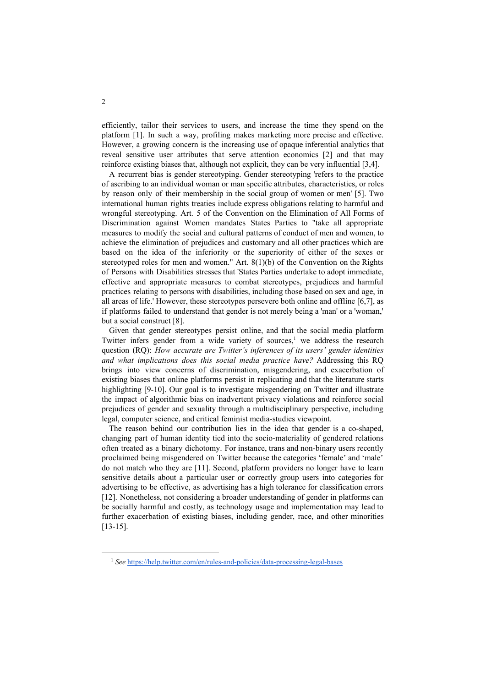efficiently, tailor their services to users, and increase the time they spend on the platform [1]. In such a way, profiling makes marketing more precise and effective. However, a growing concern is the increasing use of opaque inferential analytics that reveal sensitive user attributes that serve attention economics [2] and that may reinforce existing biases that, although not explicit, they can be very influential [3,4].

A recurrent bias is gender stereotyping. Gender stereotyping 'refers to the practice of ascribing to an individual woman or man specific attributes, characteristics, or roles by reason only of their membership in the social group of women or men' [5]. Two international human rights treaties include express obligations relating to harmful and wrongful stereotyping. Art. 5 of the Convention on the Elimination of All Forms of Discrimination against Women mandates States Parties to "take all appropriate measures to modify the social and cultural patterns of conduct of men and women, to achieve the elimination of prejudices and customary and all other practices which are based on the idea of the inferiority or the superiority of either of the sexes or stereotyped roles for men and women." Art. 8(1)(b) of the Convention on the Rights of Persons with Disabilities stresses that 'States Parties undertake to adopt immediate, effective and appropriate measures to combat stereotypes, prejudices and harmful practices relating to persons with disabilities, including those based on sex and age, in all areas of life.' However, these stereotypes persevere both online and offline [6,7], as if platforms failed to understand that gender is not merely being a 'man' or a 'woman,' but a social construct [8].

Given that gender stereotypes persist online, and that the social media platform Twitter infers gender from a wide variety of sources,<sup>1</sup> we address the research question (RQ): *How accurate are Twitter's inferences of its users' gender identities and what implications does this social media practice have?* Addressing this RQ brings into view concerns of discrimination, misgendering, and exacerbation of existing biases that online platforms persist in replicating and that the literature starts highlighting [9-10]. Our goal is to investigate misgendering on Twitter and illustrate the impact of algorithmic bias on inadvertent privacy violations and reinforce social prejudices of gender and sexuality through a multidisciplinary perspective, including legal, computer science, and critical feminist media-studies viewpoint.

The reason behind our contribution lies in the idea that gender is a co-shaped, changing part of human identity tied into the socio-materiality of gendered relations often treated as a binary dichotomy. For instance, trans and non-binary users recently proclaimed being misgendered on Twitter because the categories 'female' and 'male' do not match who they are [11]. Second, platform providers no longer have to learn sensitive details about a particular user or correctly group users into categories for advertising to be effective, as advertising has a high tolerance for classification errors [12]. Nonetheless, not considering a broader understanding of gender in platforms can be socially harmful and costly, as technology usage and implementation may lead to further exacerbation of existing biases, including gender, race, and other minorities [13-15].

<sup>&</sup>lt;sup>1</sup> *See* <https://help.twitter.com/en/rules-and-policies/data-processing-legal-bases>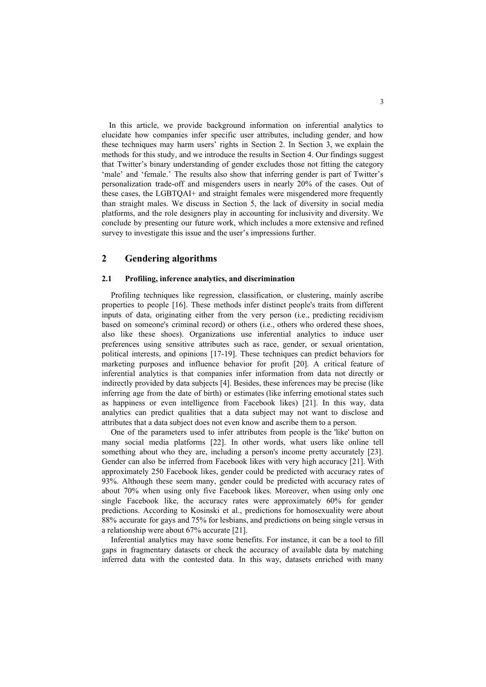In this article, we provide background information on inferential analytics to elucidate how companies infer specific user attributes, including gender, and how these techniques may harm users' rights in Section 2. In Section 3, we explain the methods for this study, and we introduce the results in Section 4. Our findings suggest that Twitter's binary understanding of gender excludes those not fitting the category 'male' and 'female.' The results also show that inferring gender is part of Twitter's personalization trade-off and misgenders users in nearly 20% of the cases. Out of these cases, the LGBTQAI+ and straight females were misgendered more frequently than straight males. We discuss in Section 5, the lack of diversity in social media platforms, and the role designers play in accounting for inclusivity and diversity. We conclude by presenting our future work, which includes a more extensive and refined survey to investigate this issue and the user's impressions further.

# **2 Gendering algorithms**

#### **2.1 Profiling, inference analytics, and discrimination**

Profiling techniques like regression, classification, or clustering, mainly ascribe properties to people [16]. These methods infer distinct people's traits from different inputs of data, originating either from the very person (i.e., predicting recidivism based on someone's criminal record) or others (i.e., others who ordered these shoes, also like these shoes). Organizations use inferential analytics to induce user preferences using sensitive attributes such as race, gender, or sexual orientation, political interests, and opinions [17-19]. These techniques can predict behaviors for marketing purposes and influence behavior for profit [20]. A critical feature of inferential analytics is that companies infer information from data not directly or indirectly provided by data subjects [4]. Besides, these inferences may be precise (like inferring age from the date of birth) or estimates (like inferring emotional states such as happiness or even intelligence from Facebook likes) [21]. In this way, data analytics can predict qualities that a data subject may not want to disclose and attributes that a data subject does not even know and ascribe them to a person.

One of the parameters used to infer attributes from people is the 'like' button on many social media platforms [22]. In other words, what users like online tell something about who they are, including a person's income pretty accurately [23]. Gender can also be inferred from Facebook likes with very high accuracy [21]. With approximately 250 Facebook likes, gender could be predicted with accuracy rates of 93%. Although these seem many, gender could be predicted with accuracy rates of about 70% when using only five Facebook likes. Moreover, when using only one single Facebook like, the accuracy rates were approximately 60% for gender predictions. According to Kosinski et al., predictions for homosexuality were about 88% accurate for gays and 75% for lesbians, and predictions on being single versus in a relationship were about 67% accurate [21].

Inferential analytics may have some benefits. For instance, it can be a tool to fill gaps in fragmentary datasets or check the accuracy of available data by matching inferred data with the contested data. In this way, datasets enriched with many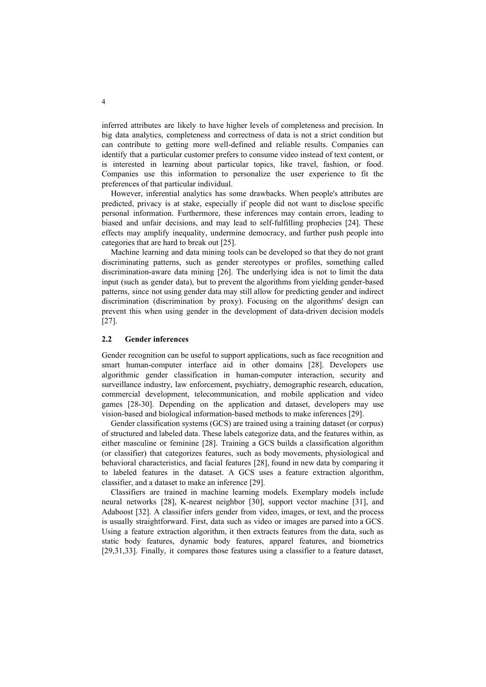inferred attributes are likely to have higher levels of completeness and precision. In big data analytics, completeness and correctness of data is not a strict condition but can contribute to getting more well-defined and reliable results. Companies can identify that a particular customer prefers to consume video instead of text content, or is interested in learning about particular topics, like travel, fashion, or food. Companies use this information to personalize the user experience to fit the preferences of that particular individual.

However, inferential analytics has some drawbacks. When people's attributes are predicted, privacy is at stake, especially if people did not want to disclose specific personal information. Furthermore, these inferences may contain errors, leading to biased and unfair decisions, and may lead to self-fulfilling prophecies [24]. These effects may amplify inequality, undermine democracy, and further push people into categories that are hard to break out [25].

Machine learning and data mining tools can be developed so that they do not grant discriminating patterns, such as gender stereotypes or profiles, something called discrimination-aware data mining [26]. The underlying idea is not to limit the data input (such as gender data), but to prevent the algorithms from yielding gender-based patterns, since not using gender data may still allow for predicting gender and indirect discrimination (discrimination by proxy). Focusing on the algorithms' design can prevent this when using gender in the development of data-driven decision models [27].

### **2.2 Gender inferences**

Gender recognition can be useful to support applications, such as face recognition and smart human-computer interface aid in other domains [28]. Developers use algorithmic gender classification in human-computer interaction, security and surveillance industry, law enforcement, psychiatry, demographic research, education, commercial development, telecommunication, and mobile application and video games [28-30]. Depending on the application and dataset, developers may use vision-based and biological information-based methods to make inferences [29].

Gender classification systems (GCS) are trained using a training dataset (or corpus) of structured and labeled data. These labels categorize data, and the features within, as either masculine or feminine [28]. Training a GCS builds a classification algorithm (or classifier) that categorizes features, such as body movements, physiological and behavioral characteristics, and facial features [28], found in new data by comparing it to labeled features in the dataset. A GCS uses a feature extraction algorithm, classifier, and a dataset to make an inference [29].

Classifiers are trained in machine learning models. Exemplary models include neural networks [28], K-nearest neighbor [30], support vector machine [31], and Adaboost [32]. A classifier infers gender from video, images, or text, and the process is usually straightforward. First, data such as video or images are parsed into a GCS. Using a feature extraction algorithm, it then extracts features from the data, such as static body features, dynamic body features, apparel features, and biometrics [29,31,33]. Finally, it compares those features using a classifier to a feature dataset,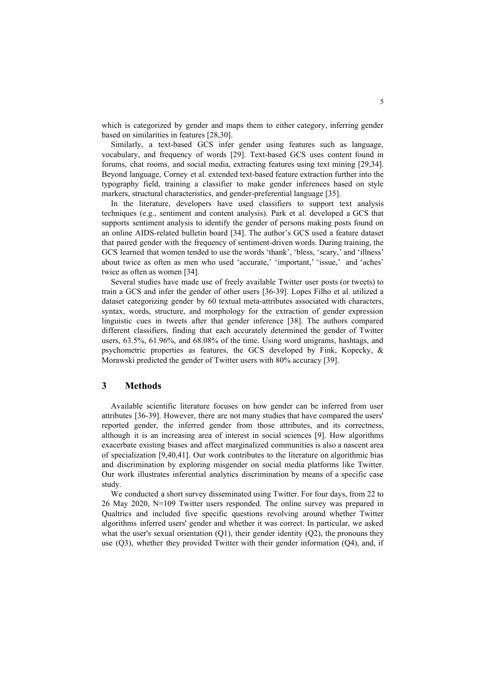which is categorized by gender and maps them to either category, inferring gender based on similarities in features [28,30].

Similarly, a text-based GCS infer gender using features such as language, vocabulary, and frequency of words [29]. Text-based GCS uses content found in forums, chat rooms, and social media, extracting features using text mining [29,34]. Beyond language, Corney et al. extended text-based feature extraction further into the typography field, training a classifier to make gender inferences based on style markers, structural characteristics, and gender-preferential language [35].

In the literature, developers have used classifiers to support text analysis techniques (e.g., sentiment and content analysis). Park et al. developed a GCS that supports sentiment analysis to identify the gender of persons making posts found on an online AIDS-related bulletin board [34]. The author's GCS used a feature dataset that paired gender with the frequency of sentiment-driven words. During training, the GCS learned that women tended to use the words 'thank', 'bless, 'scary,' and 'illness' about twice as often as men who used 'accurate,' 'important,' 'issue,' and 'aches' twice as often as women [34].

Several studies have made use of freely available Twitter user posts (or tweets) to train a GCS and infer the gender of other users [36-39]. Lopes Filho et al. utilized a dataset categorizing gender by 60 textual meta-attributes associated with characters, syntax, words, structure, and morphology for the extraction of gender expression linguistic cues in tweets after that gender inference [38]. The authors compared different classifiers, finding that each accurately determined the gender of Twitter users, 63.5%, 61.96%, and 68.08% of the time. Using word unigrams, hashtags, and psychometric properties as features, the GCS developed by Fink, Kopecky, & Morawski predicted the gender of Twitter users with 80% accuracy [39].

# **3 Methods**

Available scientific literature focuses on how gender can be inferred from user attributes [36-39]. However, there are not many studies that have compared the users' reported gender, the inferred gender from those attributes, and its correctness, although it is an increasing area of interest in social sciences [9]. How algorithms exacerbate existing biases and affect marginalized communities is also a nascent area of specialization [9,40,41]. Our work contributes to the literature on algorithmic bias and discrimination by exploring misgender on social media platforms like Twitter. Our work illustrates inferential analytics discrimination by means of a specific case study.

We conducted a short survey disseminated using Twitter. For four days, from 22 to 26 May 2020, N=109 Twitter users responded. The online survey was prepared in Qualtrics and included five specific questions revolving around whether Twitter algorithms inferred users' gender and whether it was correct. In particular, we asked what the user's sexual orientation  $(Q1)$ , their gender identity  $(Q2)$ , the pronouns they use (Q3), whether they provided Twitter with their gender information (Q4), and, if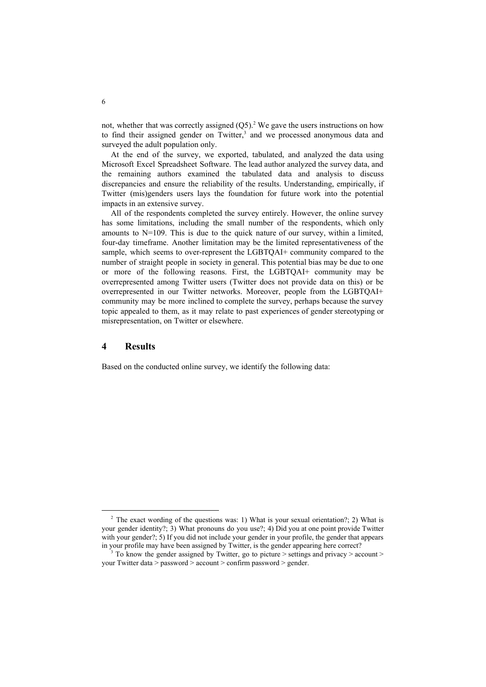not, whether that was correctly assigned  $(Q5)^2$ . We gave the users instructions on how to find their assigned gender on Twitter, $3$  and we processed anonymous data and surveyed the adult population only.

At the end of the survey, we exported, tabulated, and analyzed the data using Microsoft Excel Spreadsheet Software. The lead author analyzed the survey data, and the remaining authors examined the tabulated data and analysis to discuss discrepancies and ensure the reliability of the results. Understanding, empirically, if Twitter (mis)genders users lays the foundation for future work into the potential impacts in an extensive survey.

All of the respondents completed the survey entirely. However, the online survey has some limitations, including the small number of the respondents, which only amounts to  $N=109$ . This is due to the quick nature of our survey, within a limited, four-day timeframe. Another limitation may be the limited representativeness of the sample, which seems to over-represent the LGBTQAI+ community compared to the number of straight people in society in general. This potential bias may be due to one or more of the following reasons. First, the LGBTQAI+ community may be overrepresented among Twitter users (Twitter does not provide data on this) or be overrepresented in our Twitter networks. Moreover, people from the LGBTQAI+ community may be more inclined to complete the survey, perhaps because the survey topic appealed to them, as it may relate to past experiences of gender stereotyping or misrepresentation, on Twitter or elsewhere.

# **4 Results**

Based on the conducted online survey, we identify the following data:

 $2$  The exact wording of the questions was: 1) What is your sexual orientation?; 2) What is your gender identity?; 3) What pronouns do you use?; 4) Did you at one point provide Twitter with your gender?; 5) If you did not include your gender in your profile, the gender that appears in your profile may have been assigned by Twitter, is the gender appearing here correct?

<sup>3</sup> To know the gender assigned by Twitter, go to picture > settings and privacy > account > your Twitter data > password > account > confirm password > gender.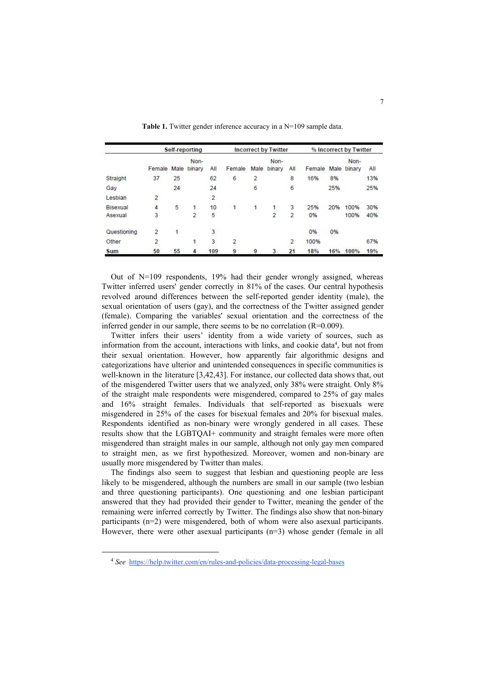|             | Self-reporting<br>Non- |              |                |     | <b>Incorrect by Twitter</b><br>Non- |                |                |                | % Incorrect by Twitter<br>Non- |      |        |     |
|-------------|------------------------|--------------|----------------|-----|-------------------------------------|----------------|----------------|----------------|--------------------------------|------|--------|-----|
|             |                        |              |                |     |                                     |                |                |                |                                |      |        |     |
|             | Female                 | Male         | binary         | All | Female                              | Male           | binary         | All            | Female                         | Male | binary | All |
| Straight    | 37                     | 25           |                | 62  | 6                                   | $\overline{2}$ |                | 8              | 16%                            | 8%   |        | 13% |
| Gay         |                        | 24           |                | 24  |                                     | 6              |                | 6              |                                | 25%  |        | 25% |
| Lesbian     | $\overline{2}$         |              |                | 2   |                                     |                |                |                |                                |      |        |     |
| Bisexual    | 4                      | 5            | 1              | 10  | 1                                   | 1              | 1              | 3              | 25%                            | 20%  | 100%   | 30% |
| Asexual     | 3                      |              | $\overline{2}$ | 5   |                                     |                | $\overline{2}$ | $\overline{2}$ | 0%                             |      | 100%   | 40% |
| Questioning | $\overline{2}$         | $\mathbf{1}$ |                | 3   |                                     |                |                |                | 0%                             | 0%   |        |     |
| Other       | 2                      |              | 1              | 3   | 2                                   |                |                | 2              | 100%                           |      |        | 67% |
| Sum         | 50                     | 55           | 4              | 109 | 9                                   | 9              | 3              | 21             | 18%                            | 16%  | 100%   | 19% |

Table 1. Twitter gender inference accuracy in a N=109 sample data.

Out of N=109 respondents, 19% had their gender wrongly assigned, whereas Twitter inferred users' gender correctly in 81% of the cases. Our central hypothesis revolved around differences between the self-reported gender identity (male), the sexual orientation of users (gay), and the correctness of the Twitter assigned gender (female). Comparing the variables' sexual orientation and the correctness of the inferred gender in our sample, there seems to be no correlation (R=0.009).

Twitter infers their users' identity from a wide variety of sources, such as information from the account, interactions with links, and cookie data<sup>4</sup>, but not from their sexual orientation. However, how apparently fair algorithmic designs and categorizations have ulterior and unintended consequences in specific communities is well-known in the literature [3,42,43]. For instance, our collected data shows that, out of the misgendered Twitter users that we analyzed, only 38% were straight. Only 8% of the straight male respondents were misgendered, compared to 25% of gay males and 16% straight females. Individuals that self-reported as bisexuals were misgendered in 25% of the cases for bisexual females and 20% for bisexual males. Respondents identified as non-binary were wrongly gendered in all cases. These results show that the LGBTQAI+ community and straight females were more often misgendered than straight males in our sample, although not only gay men compared to straight men, as we first hypothesized. Moreover, women and non-binary are usually more misgendered by Twitter than males.

The findings also seem to suggest that lesbian and questioning people are less likely to be misgendered, although the numbers are small in our sample (two lesbian and three questioning participants). One questioning and one lesbian participant answered that they had provided their gender to Twitter, meaning the gender of the remaining were inferred correctly by Twitter. The findings also show that non-binary participants (n=2) were misgendered, both of whom were also asexual participants. However, there were other asexual participants (n=3) whose gender (female in all

<sup>4</sup> *See* <https://help.twitter.com/en/rules-and-policies/data-processing-legal-bases>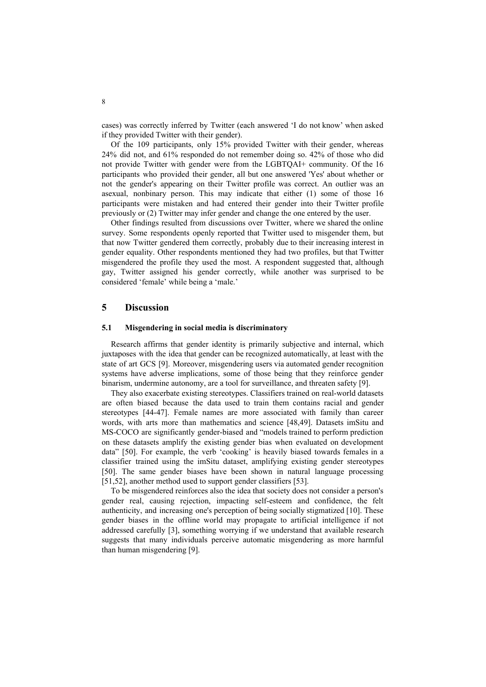cases) was correctly inferred by Twitter (each answered 'I do not know' when asked if they provided Twitter with their gender).

Of the 109 participants, only 15% provided Twitter with their gender, whereas 24% did not, and 61% responded do not remember doing so. 42% of those who did not provide Twitter with gender were from the LGBTQAI+ community. Of the 16 participants who provided their gender, all but one answered 'Yes' about whether or not the gender's appearing on their Twitter profile was correct. An outlier was an asexual, nonbinary person. This may indicate that either (1) some of those 16 participants were mistaken and had entered their gender into their Twitter profile previously or (2) Twitter may infer gender and change the one entered by the user.

Other findings resulted from discussions over Twitter, where we shared the online survey. Some respondents openly reported that Twitter used to misgender them, but that now Twitter gendered them correctly, probably due to their increasing interest in gender equality. Other respondents mentioned they had two profiles, but that Twitter misgendered the profile they used the most. A respondent suggested that, although gay, Twitter assigned his gender correctly, while another was surprised to be considered 'female' while being a 'male.'

### **5 Discussion**

#### **5.1 Misgendering in social media is discriminatory**

Research affirms that gender identity is primarily subjective and internal, which juxtaposes with the idea that gender can be recognized automatically, at least with the state of art GCS [9]. Moreover, misgendering users via automated gender recognition systems have adverse implications, some of those being that they reinforce gender binarism, undermine autonomy, are a tool for surveillance, and threaten safety [9].

They also exacerbate existing stereotypes. Classifiers trained on real-world datasets are often biased because the data used to train them contains racial and gender stereotypes [44-47]. Female names are more associated with family than career words, with arts more than mathematics and science [48,49]. Datasets imSitu and MS-COCO are significantly gender-biased and "models trained to perform prediction on these datasets amplify the existing gender bias when evaluated on development data" [50]. For example, the verb 'cooking' is heavily biased towards females in a classifier trained using the imSitu dataset, amplifying existing gender stereotypes [50]. The same gender biases have been shown in natural language processing [51,52], another method used to support gender classifiers [53].

To be misgendered reinforces also the idea that society does not consider a person's gender real, causing rejection, impacting self-esteem and confidence, the felt authenticity, and increasing one's perception of being socially stigmatized [10]. These gender biases in the offline world may propagate to artificial intelligence if not addressed carefully [3], something worrying if we understand that available research suggests that many individuals perceive automatic misgendering as more harmful than human misgendering [9].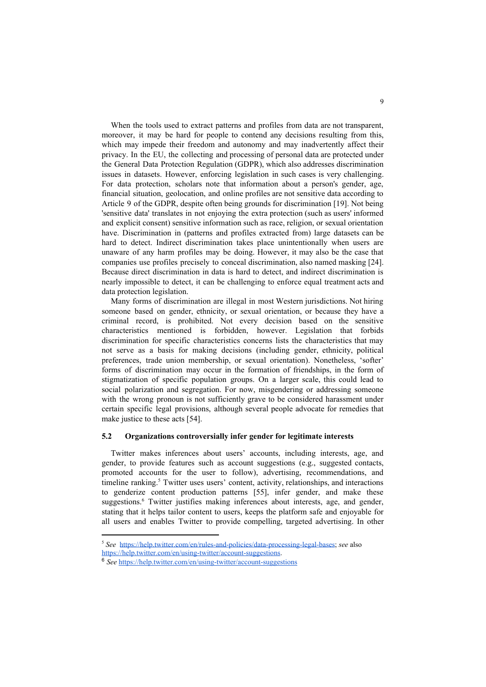When the tools used to extract patterns and profiles from data are not transparent, moreover, it may be hard for people to contend any decisions resulting from this, which may impede their freedom and autonomy and may inadvertently affect their privacy. In the EU, the collecting and processing of personal data are protected under the General Data Protection Regulation (GDPR), which also addresses discrimination issues in datasets. However, enforcing legislation in such cases is very challenging. For data protection, scholars note that information about a person's gender, age, financial situation, geolocation, and online profiles are not sensitive data according to Article 9 of the GDPR, despite often being grounds for discrimination [19]. Not being 'sensitive data' translates in not enjoying the extra protection (such as users' informed and explicit consent) sensitive information such as race, religion, or sexual orientation have. Discrimination in (patterns and profiles extracted from) large datasets can be hard to detect. Indirect discrimination takes place unintentionally when users are unaware of any harm profiles may be doing. However, it may also be the case that companies use profiles precisely to conceal discrimination, also named masking [24]. Because direct discrimination in data is hard to detect, and indirect discrimination is nearly impossible to detect, it can be challenging to enforce equal treatment acts and data protection legislation.

Many forms of discrimination are illegal in most Western jurisdictions. Not hiring someone based on gender, ethnicity, or sexual orientation, or because they have a criminal record, is prohibited. Not every decision based on the sensitive characteristics mentioned is forbidden, however. Legislation that forbids discrimination for specific characteristics concerns lists the characteristics that may not serve as a basis for making decisions (including gender, ethnicity, political preferences, trade union membership, or sexual orientation). Nonetheless, 'softer' forms of discrimination may occur in the formation of friendships, in the form of stigmatization of specific population groups. On a larger scale, this could lead to social polarization and segregation. For now, misgendering or addressing someone with the wrong pronoun is not sufficiently grave to be considered harassment under certain specific legal provisions, although several people advocate for remedies that make justice to these acts [54].

### **5.2 Organizations controversially infer gender for legitimate interests**

Twitter makes inferences about users' accounts, including interests, age, and gender, to provide features such as account suggestions (e.g., suggested contacts, promoted accounts for the user to follow), advertising, recommendations, and timeline ranking.<sup>5</sup> Twitter uses users' content, activity, relationships, and interactions to genderize content production patterns [55], infer gender, and make these suggestions.<sup>6</sup> Twitter justifies making inferences about interests, age, and gender, stating that it helps tailor content to users, keeps the platform safe and enjoyable for all users and enables Twitter to provide compelling, targeted advertising. In other

<sup>5</sup> *See* [https://help.twitter.com/en/rules-and-policies/data-processing-legal-bases;](https://help.twitter.com/en/rules-and-policies/data-processing-legal-bases) *see* also

[https://help.twitter.com/en/using-twitter/account-suggestions.](https://help.twitter.com/en/using-twitter/account-suggestions)

<sup>6</sup> *See* <https://help.twitter.com/en/using-twitter/account-suggestions>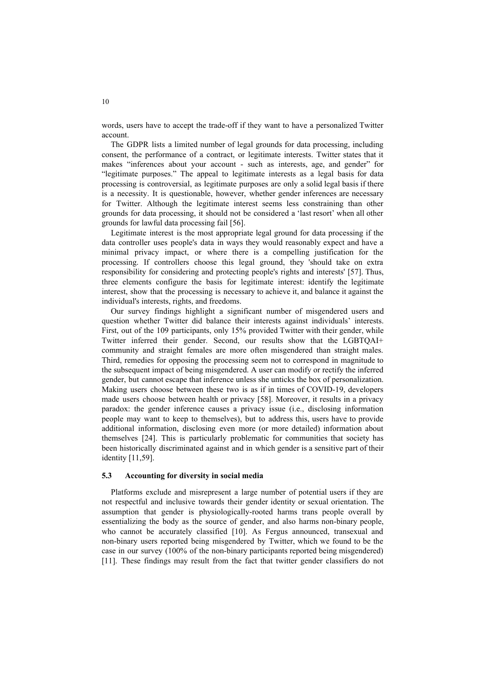words, users have to accept the trade-off if they want to have a personalized Twitter account.

The GDPR lists a limited number of legal grounds for data processing, including consent, the performance of a contract, or legitimate interests. Twitter states that it makes "inferences about your account - such as interests, age, and gender" for "legitimate purposes." The appeal to legitimate interests as a legal basis for data processing is controversial, as legitimate purposes are only a solid legal basis if there is a necessity. It is questionable, however, whether gender inferences are necessary for Twitter. Although the legitimate interest seems less constraining than other grounds for data processing, it should not be considered a 'last resort' when all other grounds for lawful data processing fail [56].

Legitimate interest is the most appropriate legal ground for data processing if the data controller uses people's data in ways they would reasonably expect and have a minimal privacy impact, or where there is a compelling justification for the processing. If controllers choose this legal ground, they 'should take on extra responsibility for considering and protecting people's rights and interests' [57]. Thus, three elements configure the basis for legitimate interest: identify the legitimate interest, show that the processing is necessary to achieve it, and balance it against the individual's interests, rights, and freedoms.

Our survey findings highlight a significant number of misgendered users and question whether Twitter did balance their interests against individuals' interests. First, out of the 109 participants, only 15% provided Twitter with their gender, while Twitter inferred their gender. Second, our results show that the LGBTQAI+ community and straight females are more often misgendered than straight males. Third, remedies for opposing the processing seem not to correspond in magnitude to the subsequent impact of being misgendered. A user can modify or rectify the inferred gender, but cannot escape that inference unless she unticks the box of personalization. Making users choose between these two is as if in times of COVID-19, developers made users choose between health or privacy [58]. Moreover, it results in a privacy paradox: the gender inference causes a privacy issue (i.e., disclosing information people may want to keep to themselves), but to address this, users have to provide additional information, disclosing even more (or more detailed) information about themselves [24]. This is particularly problematic for communities that society has been historically discriminated against and in which gender is a sensitive part of their identity [11,59].

#### **5.3 Accounting for diversity in social media**

Platforms exclude and misrepresent a large number of potential users if they are not respectful and inclusive towards their gender identity or sexual orientation. The assumption that gender is physiologically-rooted harms trans people overall by essentializing the body as the source of gender, and also harms non-binary people, who cannot be accurately classified [10]. As Fergus announced, transexual and non-binary users reported being misgendered by Twitter, which we found to be the case in our survey (100% of the non-binary participants reported being misgendered) [11]. These findings may result from the fact that twitter gender classifiers do not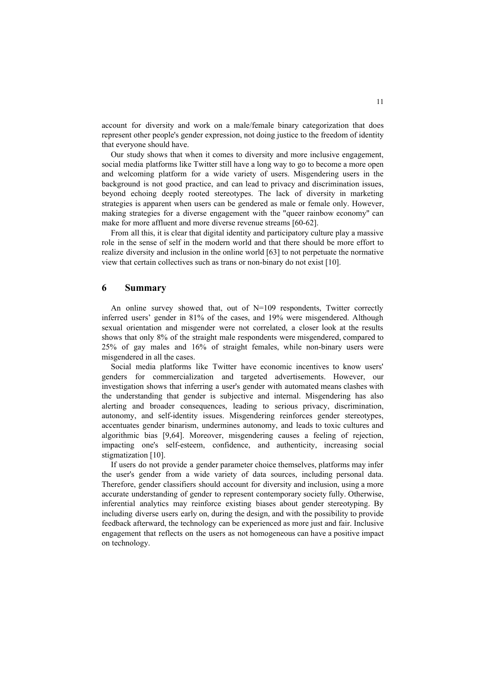account for diversity and work on a male/female binary categorization that does represent other people's gender expression, not doing justice to the freedom of identity that everyone should have.

Our study shows that when it comes to diversity and more inclusive engagement, social media platforms like Twitter still have a long way to go to become a more open and welcoming platform for a wide variety of users. Misgendering users in the background is not good practice, and can lead to privacy and discrimination issues, beyond echoing deeply rooted stereotypes. The lack of diversity in marketing strategies is apparent when users can be gendered as male or female only. However, making strategies for a diverse engagement with the "queer rainbow economy" can make for more affluent and more diverse revenue streams [60-62].

From all this, it is clear that digital identity and participatory culture play a massive role in the sense of self in the modern world and that there should be more effort to realize diversity and inclusion in the online world [63] to not perpetuate the normative view that certain collectives such as trans or non-binary do not exist [10].

### **6 Summary**

An online survey showed that, out of N=109 respondents, Twitter correctly inferred users' gender in 81% of the cases, and 19% were misgendered. Although sexual orientation and misgender were not correlated, a closer look at the results shows that only 8% of the straight male respondents were misgendered, compared to 25% of gay males and 16% of straight females, while non-binary users were misgendered in all the cases.

Social media platforms like Twitter have economic incentives to know users' genders for commercialization and targeted advertisements. However, our investigation shows that inferring a user's gender with automated means clashes with the understanding that gender is subjective and internal. Misgendering has also alerting and broader consequences, leading to serious privacy, discrimination, autonomy, and self-identity issues. Misgendering reinforces gender stereotypes, accentuates gender binarism, undermines autonomy, and leads to toxic cultures and algorithmic bias [9,64]. Moreover, misgendering causes a feeling of rejection, impacting one's self-esteem, confidence, and authenticity, increasing social stigmatization [10].

If users do not provide a gender parameter choice themselves, platforms may infer the user's gender from a wide variety of data sources, including personal data. Therefore, gender classifiers should account for diversity and inclusion, using a more accurate understanding of gender to represent contemporary society fully. Otherwise, inferential analytics may reinforce existing biases about gender stereotyping. By including diverse users early on, during the design, and with the possibility to provide feedback afterward, the technology can be experienced as more just and fair. Inclusive engagement that reflects on the users as not homogeneous can have a positive impact on technology.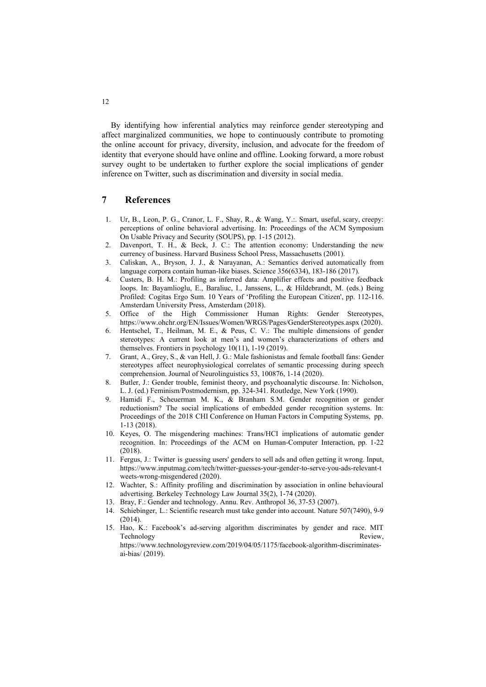By identifying how inferential analytics may reinforce gender stereotyping and affect marginalized communities, we hope to continuously contribute to promoting the online account for privacy, diversity, inclusion, and advocate for the freedom of identity that everyone should have online and offline. Looking forward, a more robust survey ought to be undertaken to further explore the social implications of gender inference on Twitter, such as discrimination and diversity in social media.

# **7 References**

- 1. Ur, B., Leon, P. G., Cranor, L. F., Shay, R., & Wang, Y.:. Smart, useful, scary, creepy: perceptions of online behavioral advertising. In: Proceedings of the ACM Symposium On Usable Privacy and Security (SOUPS), pp. 1-15 (2012).
- 2. Davenport, T. H., & Beck, J. C.: The attention economy: Understanding the new currency of business. Harvard Business School Press, Massachusetts (2001).
- 3. Caliskan, A., Bryson, J. J., & Narayanan, A.: Semantics derived automatically from language corpora contain human-like biases. Science 356(6334), 183-186 (2017).
- 4. Custers, B. H. M.: Profiling as inferred data: Amplifier effects and positive feedback loops. In: Bayamlioglu, E., Baraliuc, I., Janssens, L., & Hildebrandt, M. (eds.) Being Profiled: Cogitas Ergo Sum. 10 Years of 'Profiling the European Citizen', pp. 112-116. Amsterdam University Press, Amsterdam (2018).
- 5. Office of the High Commissioner Human Rights: Gender Stereotypes, https://www.ohchr.org/EN/Issues/Women/WRGS/Pages/GenderStereotypes.aspx (2020).
- 6. Hentschel, T., Heilman, M. E., & Peus, C. V.: The multiple dimensions of gender stereotypes: A current look at men's and women's characterizations of others and themselves. Frontiers in psychology 10(11), 1-19 (2019).
- 7. Grant, A., Grey, S., & van Hell, J. G.: Male fashionistas and female football fans: Gender stereotypes affect neurophysiological correlates of semantic processing during speech comprehension. Journal of Neurolinguistics 53, 100876, 1-14 (2020).
- 8. Butler, J.: Gender trouble, feminist theory, and psychoanalytic discourse. In: Nicholson, L. J. (ed.) Feminism/Postmodernism, pp. 324-341. Routledge, New York (1990).
- 9. Hamidi F., Scheuerman M. K., & Branham S.M. Gender recognition or gender reductionism? The social implications of embedded gender recognition systems. In: Proceedings of the 2018 CHI Conference on Human Factors in Computing Systems, pp. 1-13 (2018).
- 10. Keyes, O. The misgendering machines: Trans/HCI implications of automatic gender recognition. In: Proceedings of the ACM on Human-Computer Interaction, pp. 1-22 (2018).
- 11. Fergus, J.: Twitter is guessing users' genders to sell ads and often getting it wrong. Input, https://www.inputmag.com/tech/twitter-guesses-your-gender-to-serve-you-ads-relevant-t weets-wrong-misgendered (2020).
- 12. Wachter, S.: Affinity profiling and discrimination by association in online behavioural advertising. Berkeley Technology Law Journal 35(2), 1-74 (2020).
- 13. Bray, F.: Gender and technology. Annu. Rev. Anthropol 36, 37-53 (2007).
- 14. Schiebinger, L.: Scientific research must take gender into account. Nature 507(7490), 9-9 (2014).
- 15. Hao, K.: Facebook's ad-serving algorithm discriminates by gender and race. MIT Technology Review, https://www.technologyreview.com/2019/04/05/1175/facebook-algorithm-discriminates-

ai-bias/ (2019).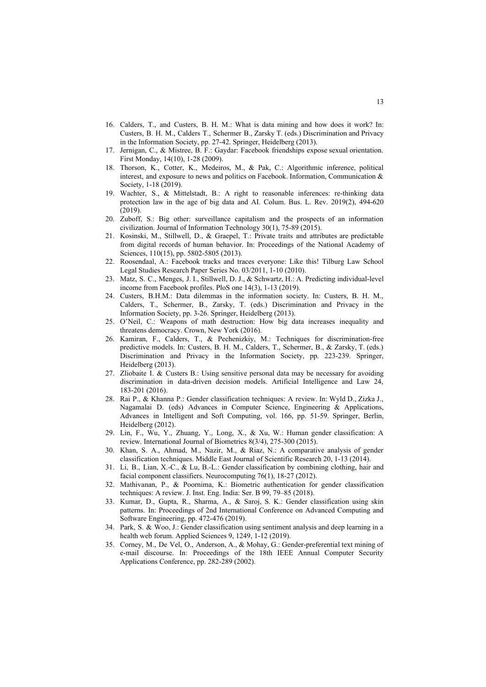- 16. Calders, T., and Custers, B. H. M.: What is data mining and how does it work? In: Custers, B. H. M., Calders T., Schermer B., Zarsky T. (eds.) Discrimination and Privacy in the Information Society, pp. 27-42. Springer, Heidelberg (2013).
- 17. Jernigan, C., & Mistree, B. F.: Gaydar: Facebook friendships expose sexual orientation. First Monday, 14(10), 1-28 (2009).
- 18. Thorson, K., Cotter, K., Medeiros, M., & Pak, C.: Algorithmic inference, political interest, and exposure to news and politics on Facebook. Information, Communication & Society, 1-18 (2019).
- 19. Wachter, S., & Mittelstadt, B.: A right to reasonable inferences: re-thinking data protection law in the age of big data and AI. Colum. Bus. L. Rev. 2019(2), 494-620 (2019).
- 20. Zuboff, S.: Big other: surveillance capitalism and the prospects of an information civilization. Journal of Information Technology 30(1), 75-89 (2015).
- 21. Kosinski, M., Stillwell, D., & Graepel, T.: Private traits and attributes are predictable from digital records of human behavior. In: Proceedings of the National Academy of Sciences, 110(15), pp. 5802-5805 (2013).
- 22. Roosendaal, A.: Facebook tracks and traces everyone: Like this! Tilburg Law School Legal Studies Research Paper Series No. 03/2011, 1-10 (2010).
- 23. Matz, S. C., Menges, J. I., Stillwell, D. J., & Schwartz, H.: A. Predicting individual-level income from Facebook profiles. PloS one 14(3), 1-13 (2019).
- 24. Custers, B.H.M.: Data dilemmas in the information society. In: Custers, B. H. M., Calders, T., Schermer, B., Zarsky, T. (eds.) Discrimination and Privacy in the Information Society, pp. 3-26. Springer, Heidelberg (2013).
- 25. O'Neil, C.: Weapons of math destruction: How big data increases inequality and threatens democracy. Crown, New York (2016).
- 26. Kamiran, F., Calders, T., & Pechenizkiy, M.: Techniques for discrimination-free predictive models. In: Custers, B. H. M., Calders, T., Schermer, B., & Zarsky, T. (eds.) Discrimination and Privacy in the Information Society, pp. 223-239. Springer, Heidelberg (2013).
- 27. Zliobaite I. & Custers B.: Using sensitive personal data may be necessary for avoiding discrimination in data-driven decision models. Artificial Intelligence and Law 24, 183-201 (2016).
- 28. Rai P., & Khanna P.: Gender classification techniques: A review. In: Wyld D., Zizka J., Nagamalai D. (eds) Advances in Computer Science, Engineering & Applications, Advances in Intelligent and Soft Computing, vol. 166, pp. 51-59. Springer, Berlin, Heidelberg (2012).
- 29. Lin, F., Wu, Y., Zhuang, Y., Long, X., & Xu, W.: Human gender classification: A review. International Journal of Biometrics 8(3/4), 275-300 (2015).
- 30. Khan, S. A., Ahmad, M., Nazir, M., & Riaz, N.: A comparative analysis of gender classification techniques. Middle East Journal of Scientific Research 20, 1-13 (2014).
- 31. Li, B., Lian, X.-C., & Lu, B.-L.: Gender classification by combining clothing, hair and facial component classifiers. Neurocomputing 76(1), 18-27 (2012).
- 32. Mathivanan, P., & Poornima, K.: Biometric authentication for gender classification techniques: A review. J. Inst. Eng. India: Ser. B 99, 79–85 (2018).
- 33. Kumar, D., Gupta, R., Sharma, A., & Saroj, S. K.: Gender classification using skin patterns. In: Proceedings of 2nd International Conference on Advanced Computing and Software Engineering, pp. 472-476 (2019).
- 34. Park, S. & Woo, J.: Gender classification using sentiment analysis and deep learning in a health web forum. Applied Sciences 9, 1249, 1-12 (2019).
- 35. Corney, M., De Vel, O., Anderson, A., & Mohay, G.: Gender-preferential text mining of e-mail discourse. In: Proceedings of the 18th IEEE Annual Computer Security Applications Conference, pp. 282-289 (2002).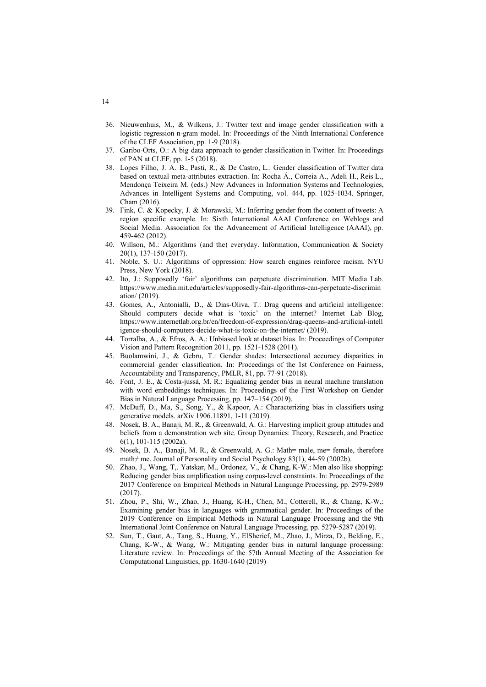- 36. Nieuwenhuis, M., & Wilkens, J.: Twitter text and image gender classification with a logistic regression n-gram model. In: Proceedings of the Ninth International Conference of the CLEF Association, pp. 1-9 (2018).
- 37. Garibo-Orts, O.: A big data approach to gender classification in Twitter. In: Proceedings of PAN at CLEF, pp. 1-5 (2018).
- 38. Lopes Filho, J. A. B., Pasti, R., & De Castro, L.: Gender classification of Twitter data based on textual meta-attributes extraction. In: Rocha Á., Correia A., Adeli H., Reis L., Mendonça Teixeira M. (eds.) New Advances in Information Systems and Technologies, Advances in Intelligent Systems and Computing, vol. 444, pp. 1025-1034. Springer, Cham (2016).
- 39. Fink, C. & Kopecky, J. & Morawski, M.: Inferring gender from the content of tweets: A region specific example. In: Sixth International AAAI Conference on Weblogs and Social Media. Association for the Advancement of Artificial Intelligence (AAAI), pp. 459-462 (2012).
- 40. Willson, M.: Algorithms (and the) everyday. Information, Communication & Society 20(1), 137-150 (2017).
- 41. Noble, S. U.: Algorithms of oppression: How search engines reinforce racism. NYU Press, New York (2018).
- 42. Ito, J.: Supposedly 'fair' algorithms can perpetuate discrimination. MIT Media Lab. https://www.media.mit.edu/articles/supposedly-fair-algorithms-can-perpetuate-discrimin ation/ (2019).
- 43. Gomes, A., Antonialli, D., & Dias-Oliva, T.: Drag queens and artificial intelligence: Should computers decide what is 'toxic' on the internet? Internet Lab Blog, https://www.internetlab.org.br/en/freedom-of-expression/drag-queens-and-artificial-intell igence-should-computers-decide-what-is-toxic-on-the-internet/ (2019).
- 44. Torralba, A., & Efros, A. A.: Unbiased look at dataset bias. In: Proceedings of Computer Vision and Pattern Recognition 2011, pp. 1521-1528 (2011).
- 45. Buolamwini, J., & Gebru, T.: Gender shades: Intersectional accuracy disparities in commercial gender classification. In: Proceedings of the 1st Conference on Fairness, Accountability and Transparency, PMLR, 81, pp. 77-91 (2018).
- 46. Font, J. E., & Costa-jussà, M. R.: Equalizing gender bias in neural machine translation with word embeddings techniques. In: Proceedings of the First Workshop on Gender Bias in Natural Language Processing, pp. 147–154 (2019).
- 47. McDuff, D., Ma, S., Song, Y., & Kapoor, A.: Characterizing bias in classifiers using generative models. arXiv 1906.11891, 1-11 (2019).
- 48. Nosek, B. A., Banaji, M. R., & Greenwald, A. G.: Harvesting implicit group attitudes and beliefs from a demonstration web site. Group Dynamics: Theory, Research, and Practice 6(1), 101-115 (2002a).
- 49. Nosek, B. A., Banaji, M. R., & Greenwald, A. G.: Math= male, me= female, therefore math≠ me. Journal of Personality and Social Psychology 83(1), 44-59 (2002b).
- 50. Zhao, J., Wang, T,. Yatskar, M., Ordonez, V., & Chang, K-W.: Men also like shopping: Reducing gender bias amplification using corpus-level constraints. In: Proceedings of the 2017 Conference on Empirical Methods in Natural Language Processing, pp. 2979-2989 (2017).
- 51. Zhou, P., Shi, W., Zhao, J., Huang, K-H., Chen, M., Cotterell, R., & Chang, K-W,: Examining gender bias in languages with grammatical gender. In: Proceedings of the 2019 Conference on Empirical Methods in Natural Language Processing and the 9th International Joint Conference on Natural Language Processing, pp. 5279-5287 (2019).
- 52. Sun, T., Gaut, A., Tang, S., Huang, Y., ElSherief, M., Zhao, J., Mirza, D., Belding, E., Chang, K-W., & Wang, W.: Mitigating gender bias in natural language processing: Literature review. In: Proceedings of the 57th Annual Meeting of the Association for Computational Linguistics, pp. 1630-1640 (2019)